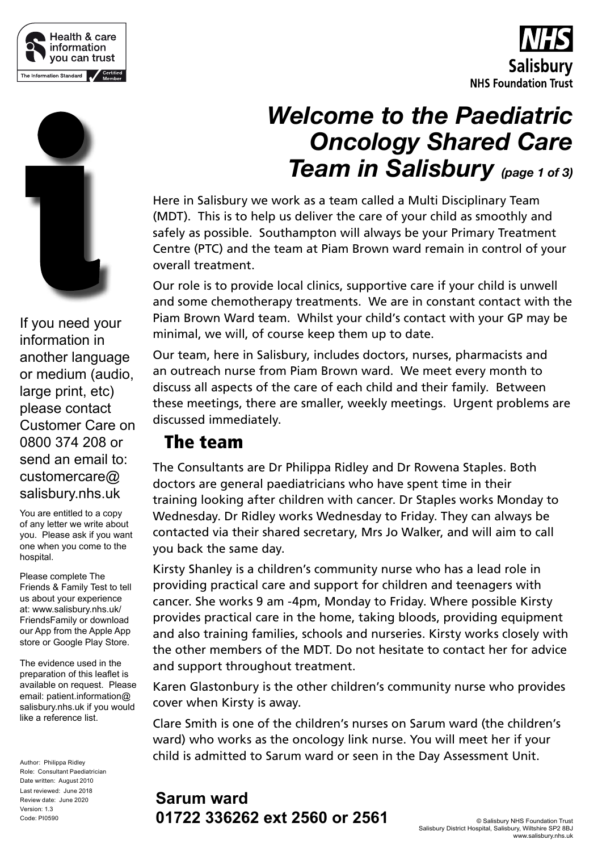





If you need your information in another language or medium (audio, large print, etc) please contact Customer Care on 0800 374 208 or send an email to: customercare@ salisbury.nhs.uk

You are entitled to a copy of any letter we write about you. Please ask if you want one when you come to the hospital.

Please complete The Friends & Family Test to tell us about your experience at: www.salisbury.nhs.uk/ FriendsFamily or download our App from the Apple App store or Google Play Store.

The evidence used in the preparation of this leaflet is available on request. Please email: patient.information@ salisbury.nhs.uk if you would like a reference list.

Author: Philippa Ridley Role: Consultant Paediatrician Date written: August 2010 Last reviewed: June 2018 Review date: June 2020 Version: 1.3 Code: PI0590

# *Welcome to the Paediatric Oncology Shared Care Team in Salisbury (page 1 of 3)*

Here in Salisbury we work as a team called a Multi Disciplinary Team (MDT). This is to help us deliver the care of your child as smoothly and safely as possible. Southampton will always be your Primary Treatment Centre (PTC) and the team at Piam Brown ward remain in control of your overall treatment.

Our role is to provide local clinics, supportive care if your child is unwell and some chemotherapy treatments. We are in constant contact with the Piam Brown Ward team. Whilst your child's contact with your GP may be minimal, we will, of course keep them up to date.

Our team, here in Salisbury, includes doctors, nurses, pharmacists and an outreach nurse from Piam Brown ward. We meet every month to discuss all aspects of the care of each child and their family. Between these meetings, there are smaller, weekly meetings. Urgent problems are discussed immediately.

#### The team

The Consultants are Dr Philippa Ridley and Dr Rowena Staples. Both doctors are general paediatricians who have spent time in their training looking after children with cancer. Dr Staples works Monday to Wednesday. Dr Ridley works Wednesday to Friday. They can always be contacted via their shared secretary, Mrs Jo Walker, and will aim to call you back the same day.

Kirsty Shanley is a children's community nurse who has a lead role in providing practical care and support for children and teenagers with cancer. She works 9 am -4pm, Monday to Friday. Where possible Kirsty provides practical care in the home, taking bloods, providing equipment and also training families, schools and nurseries. Kirsty works closely with the other members of the MDT. Do not hesitate to contact her for advice and support throughout treatment.

Karen Glastonbury is the other children's community nurse who provides cover when Kirsty is away.

Clare Smith is one of the children's nurses on Sarum ward (the children's ward) who works as the oncology link nurse. You will meet her if your child is admitted to Sarum ward or seen in the Day Assessment Unit.

#### **Sarum ward 01722 336262 ext 2560 or 2561**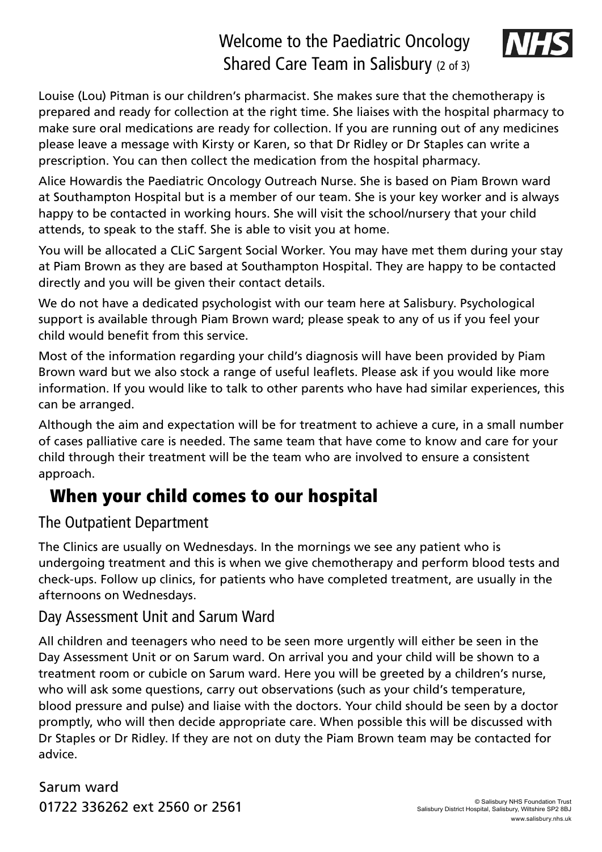## Welcome to the Paediatric Oncology Shared Care Team in Salisbury (2 of 3)



Louise (Lou) Pitman is our children's pharmacist. She makes sure that the chemotherapy is prepared and ready for collection at the right time. She liaises with the hospital pharmacy to make sure oral medications are ready for collection. If you are running out of any medicines please leave a message with Kirsty or Karen, so that Dr Ridley or Dr Staples can write a prescription. You can then collect the medication from the hospital pharmacy.

Alice Howardis the Paediatric Oncology Outreach Nurse. She is based on Piam Brown ward at Southampton Hospital but is a member of our team. She is your key worker and is always happy to be contacted in working hours. She will visit the school/nursery that your child attends, to speak to the staff. She is able to visit you at home.

You will be allocated a CLiC Sargent Social Worker. You may have met them during your stay at Piam Brown as they are based at Southampton Hospital. They are happy to be contacted directly and you will be given their contact details.

We do not have a dedicated psychologist with our team here at Salisbury. Psychological support is available through Piam Brown ward; please speak to any of us if you feel your child would benefit from this service.

Most of the information regarding your child's diagnosis will have been provided by Piam Brown ward but we also stock a range of useful leaflets. Please ask if you would like more information. If you would like to talk to other parents who have had similar experiences, this can be arranged.

Although the aim and expectation will be for treatment to achieve a cure, in a small number of cases palliative care is needed. The same team that have come to know and care for your child through their treatment will be the team who are involved to ensure a consistent approach.

# When your child comes to our hospital

#### The Outpatient Department

The Clinics are usually on Wednesdays. In the mornings we see any patient who is undergoing treatment and this is when we give chemotherapy and perform blood tests and check-ups. Follow up clinics, for patients who have completed treatment, are usually in the afternoons on Wednesdays.

#### Day Assessment Unit and Sarum Ward

All children and teenagers who need to be seen more urgently will either be seen in the Day Assessment Unit or on Sarum ward. On arrival you and your child will be shown to a treatment room or cubicle on Sarum ward. Here you will be greeted by a children's nurse, who will ask some questions, carry out observations (such as your child's temperature, blood pressure and pulse) and liaise with the doctors. Your child should be seen by a doctor promptly, who will then decide appropriate care. When possible this will be discussed with Dr Staples or Dr Ridley. If they are not on duty the Piam Brown team may be contacted for advice.

Sarum ward 01722 336262 ext 2560 or 2561